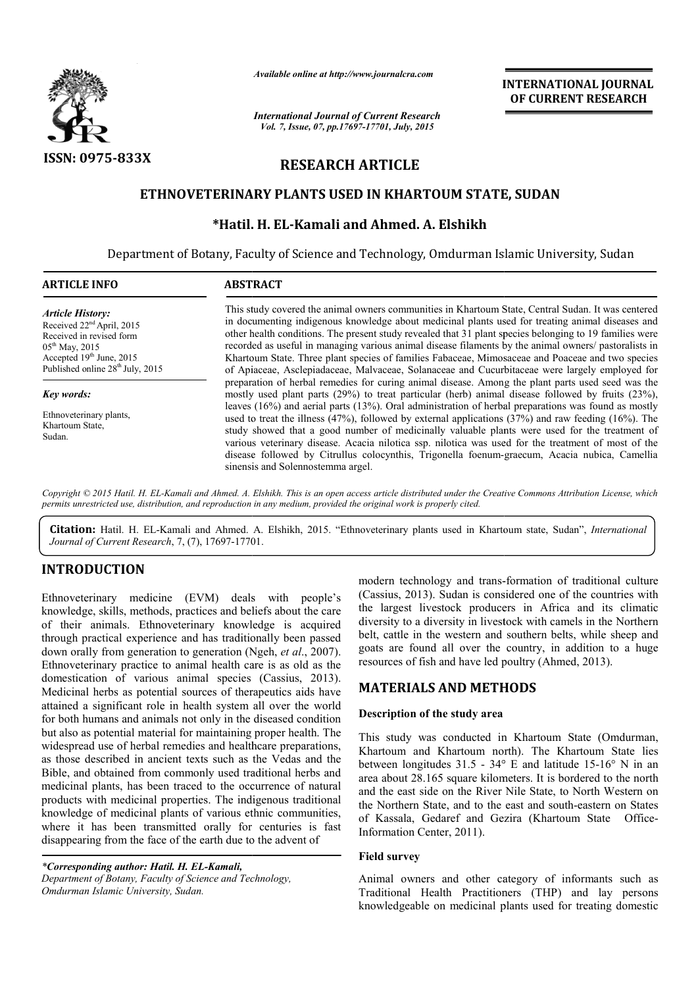

*Available online at http://www.journalcra.com*

# **RESEARCH ARTICLE**

### **ETHNOVETERINARY PLANTS USED IN KHARTOUM STATE, SUDAN PLANTS USED KHARTOUM STATE,**

## **\*Hatil. H. EL EL-Kamali and Ahmed. A. Elshikh**

|                                                                                                                                                                                                                                                                                                                                                                                                                                                                                                                                                   | лтанион опине интирулттуринтинсти.com<br><b>International Journal of Current Research</b><br>Vol. 7, Issue, 07, pp.17697-17701, July, 2015                                                                                                                                                                                                                                                                                                                                                                                                                                                                                                                                                                                                                                                                                                                                                                                                                                                                                                                                                                                                                                                                                                                                                                                                                                                                     | <b>INTERNATIONAL JOURNAL</b><br>OF CURRENT RESEARCH                                                                                                                                                                                                                                                                                                                                                                                                                                                                                       |  |  |
|---------------------------------------------------------------------------------------------------------------------------------------------------------------------------------------------------------------------------------------------------------------------------------------------------------------------------------------------------------------------------------------------------------------------------------------------------------------------------------------------------------------------------------------------------|----------------------------------------------------------------------------------------------------------------------------------------------------------------------------------------------------------------------------------------------------------------------------------------------------------------------------------------------------------------------------------------------------------------------------------------------------------------------------------------------------------------------------------------------------------------------------------------------------------------------------------------------------------------------------------------------------------------------------------------------------------------------------------------------------------------------------------------------------------------------------------------------------------------------------------------------------------------------------------------------------------------------------------------------------------------------------------------------------------------------------------------------------------------------------------------------------------------------------------------------------------------------------------------------------------------------------------------------------------------------------------------------------------------|-------------------------------------------------------------------------------------------------------------------------------------------------------------------------------------------------------------------------------------------------------------------------------------------------------------------------------------------------------------------------------------------------------------------------------------------------------------------------------------------------------------------------------------------|--|--|
| ISSN: 0975-833X                                                                                                                                                                                                                                                                                                                                                                                                                                                                                                                                   |                                                                                                                                                                                                                                                                                                                                                                                                                                                                                                                                                                                                                                                                                                                                                                                                                                                                                                                                                                                                                                                                                                                                                                                                                                                                                                                                                                                                                | <b>RESEARCH ARTICLE</b>                                                                                                                                                                                                                                                                                                                                                                                                                                                                                                                   |  |  |
|                                                                                                                                                                                                                                                                                                                                                                                                                                                                                                                                                   |                                                                                                                                                                                                                                                                                                                                                                                                                                                                                                                                                                                                                                                                                                                                                                                                                                                                                                                                                                                                                                                                                                                                                                                                                                                                                                                                                                                                                | ETHNOVETERINARY PLANTS USED IN KHARTOUM STATE, SUDAN                                                                                                                                                                                                                                                                                                                                                                                                                                                                                      |  |  |
|                                                                                                                                                                                                                                                                                                                                                                                                                                                                                                                                                   |                                                                                                                                                                                                                                                                                                                                                                                                                                                                                                                                                                                                                                                                                                                                                                                                                                                                                                                                                                                                                                                                                                                                                                                                                                                                                                                                                                                                                | *Hatil. H. EL-Kamali and Ahmed. A. Elshikh                                                                                                                                                                                                                                                                                                                                                                                                                                                                                                |  |  |
| <b>ARTICLE INFO</b>                                                                                                                                                                                                                                                                                                                                                                                                                                                                                                                               | <b>ABSTRACT</b>                                                                                                                                                                                                                                                                                                                                                                                                                                                                                                                                                                                                                                                                                                                                                                                                                                                                                                                                                                                                                                                                                                                                                                                                                                                                                                                                                                                                | Department of Botany, Faculty of Science and Technology, Omdurman Islamic University, Sudan                                                                                                                                                                                                                                                                                                                                                                                                                                               |  |  |
| <b>Article History:</b><br>Received 22 <sup>nd</sup> April, 2015<br>Received in revised form<br>05 <sup>th</sup> May, 2015<br>Accepted 19th June, 2015<br>Published online 28 <sup>th</sup> July, 2015<br><b>Key words:</b>                                                                                                                                                                                                                                                                                                                       | This study covered the animal owners communities in Khartoum State, Central Sudan. It was centered<br>in documenting indigenous knowledge about medicinal plants used for treating animal diseases and<br>other health conditions. The present study revealed that 31 plant species belonging to 19 families were<br>recorded as useful in managing various animal disease filaments by the animal owners/ pastoralists in<br>Khartoum State. Three plant species of families Fabaceae, Mimosaceae and Poaceae and two species<br>of Apiaceae, Asclepiadaceae, Malvaceae, Solanaceae and Cucurbitaceae were largely employed for<br>preparation of herbal remedies for curing animal disease. Among the plant parts used seed was the<br>mostly used plant parts (29%) to treat particular (herb) animal disease followed by fruits (23%),<br>leaves (16%) and aerial parts (13%). Oral administration of herbal preparations was found as mostly<br>used to treat the illness $(47%)$ , followed by external applications $(37%)$ and raw feeding $(16%)$ . The<br>study showed that a good number of medicinally valuable plants were used for the treatment of<br>various veterinary disease. Acacia nilotica ssp. nilotica was used for the treatment of most of the<br>disease followed by Citrullus colocynthis, Trigonella foenum-graecum, Acacia nubica, Camellia<br>sinensis and Solennostemma argel. |                                                                                                                                                                                                                                                                                                                                                                                                                                                                                                                                           |  |  |
| Ethnoveterinary plants,<br>Khartoum State,<br>Sudan.                                                                                                                                                                                                                                                                                                                                                                                                                                                                                              |                                                                                                                                                                                                                                                                                                                                                                                                                                                                                                                                                                                                                                                                                                                                                                                                                                                                                                                                                                                                                                                                                                                                                                                                                                                                                                                                                                                                                |                                                                                                                                                                                                                                                                                                                                                                                                                                                                                                                                           |  |  |
| Journal of Current Research, 7, (7), 17697-17701.                                                                                                                                                                                                                                                                                                                                                                                                                                                                                                 | permits unrestricted use, distribution, and reproduction in any medium, provided the original work is properly cited.                                                                                                                                                                                                                                                                                                                                                                                                                                                                                                                                                                                                                                                                                                                                                                                                                                                                                                                                                                                                                                                                                                                                                                                                                                                                                          | Copyright © 2015 Hatil. H. EL-Kamali and Ahmed. A. Elshikh. This is an open access article distributed under the Creative Commons Attribution License, which<br>Citation: Hatil. H. EL-Kamali and Ahmed. A. Elshikh, 2015. "Ethnoveterinary plants used in Khartoum state, Sudan", International                                                                                                                                                                                                                                          |  |  |
| <b>INTRODUCTION</b><br>(EVM) deals with people's<br>Ethnoveterinary medicine<br>knowledge, skills, methods, practices and beliefs about the care<br>of their animals. Ethnoveterinary knowledge is acquired<br>through practical experience and has traditionally been passed<br>down orally from generation to generation (Ngeh, et al., 2007).<br>Ethnoveterinary practice to animal health care is as old as the<br>domestication of various animal species (Cassius, 2013).<br>Medicinal herbs as potential sources of therapeutics aids have |                                                                                                                                                                                                                                                                                                                                                                                                                                                                                                                                                                                                                                                                                                                                                                                                                                                                                                                                                                                                                                                                                                                                                                                                                                                                                                                                                                                                                | modern technology and trans-formation of traditional culture<br>(Cassius, 2013). Sudan is considered one of the countries with<br>the largest livestock producers in Africa and its climatic<br>diversity to a diversity in livestock with camels in the Northern<br>belt, cattle in the western and southern belts, while sheep and<br>goats are found all over the country, in addition to a huge<br>resources of fish and have led poultry (Ahmed, 2013).<br><b>MATERIALS AND METHODS</b>                                              |  |  |
| disappearing from the face of the earth due to the advent of                                                                                                                                                                                                                                                                                                                                                                                                                                                                                      | attained a significant role in health system all over the world<br>for both humans and animals not only in the diseased condition<br>but also as potential material for maintaining proper health. The<br>widespread use of herbal remedies and healthcare preparations,<br>as those described in ancient texts such as the Vedas and the<br>Bible, and obtained from commonly used traditional herbs and<br>medicinal plants, has been traced to the occurrence of natural<br>products with medicinal properties. The indigenous traditional<br>knowledge of medicinal plants of various ethnic communities,<br>where it has been transmitted orally for centuries is fast                                                                                                                                                                                                                                                                                                                                                                                                                                                                                                                                                                                                                                                                                                                                    | Description of the study area<br>This study was conducted in Khartoum State (Omdurman,<br>Khartoum and Khartoum north). The Khartoum State lies<br>between longitudes 31.5 - 34° E and latitude 15-16° N in an<br>area about 28.165 square kilometers. It is bordered to the north<br>and the east side on the River Nile State, to North Western on<br>the Northern State, and to the east and south-eastern on States<br>of Kassala, Gedaref and Gezira (Khartoum State<br>Office-<br>Information Center, 2011).<br><b>Field survey</b> |  |  |
| *Corresponding author: Hatil. H. EL-Kamali,<br>Department of Botany, Faculty of Science and Technology,<br>Omdurman Islamic University, Sudan.                                                                                                                                                                                                                                                                                                                                                                                                    |                                                                                                                                                                                                                                                                                                                                                                                                                                                                                                                                                                                                                                                                                                                                                                                                                                                                                                                                                                                                                                                                                                                                                                                                                                                                                                                                                                                                                | Animal owners and other category of informants such as<br>Traditional Health Practitioners (THP) and lay persons                                                                                                                                                                                                                                                                                                                                                                                                                          |  |  |

## **INTRODUCTION**

## **MATERIALS AND METHODS METHODS**

### **Description of the study area**

#### **Field survey**

Animal owners and other category of informants such as Traditional Health Practitioners (THP) and lay persons knowledgeable on medicinal plants used for treating domestic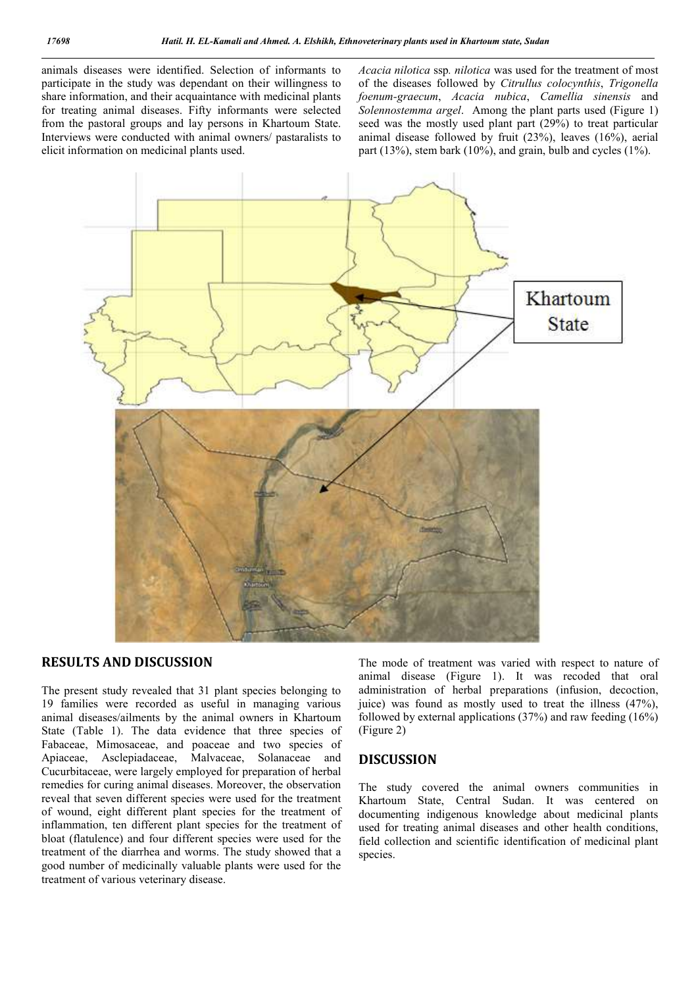animals diseases were identified. Selection of informants to participate in the study was dependant on their willingness to share information, and their acquaintance with medicinal plants for treating animal diseases. Fifty informants were selected from the pastoral groups and lay persons in Khartoum State. Interviews were conducted with animal owners/ pastaralists to elicit information on medicinal plants used.

*Acacia nilotica* ssp*. nilotica* was used for the treatment of most of the diseases followed by *Citrullus colocynthis*, *Trigonella foenum-graecum*, *Acacia nubica*, *Camellia sinensis* and *Solennostemma argel*. Among the plant parts used (Figure 1) seed was the mostly used plant part (29%) to treat particular animal disease followed by fruit (23%), leaves (16%), aerial part (13%), stem bark (10%), and grain, bulb and cycles (1%).



## **RESULTS AND DISCUSSION**

The present study revealed that 31 plant species belonging to 19 families were recorded as useful in managing various animal diseases/ailments by the animal owners in Khartoum State (Table 1). The data evidence that three species of Fabaceae, Mimosaceae, and poaceae and two species of Apiaceae, Asclepiadaceae, Malvaceae, Solanaceae and Cucurbitaceae, were largely employed for preparation of herbal remedies for curing animal diseases. Moreover, the observation reveal that seven different species were used for the treatment of wound, eight different plant species for the treatment of inflammation, ten different plant species for the treatment of bloat (flatulence) and four different species were used for the treatment of the diarrhea and worms. The study showed that a good number of medicinally valuable plants were used for the treatment of various veterinary disease.

The mode of treatment was varied with respect to nature of animal disease (Figure 1). It was recoded that oral administration of herbal preparations (infusion, decoction, juice) was found as mostly used to treat the illness (47%), followed by external applications (37%) and raw feeding (16%) (Figure 2)

#### **DISCUSSION**

The study covered the animal owners communities in Khartoum State, Central Sudan. It was centered on documenting indigenous knowledge about medicinal plants used for treating animal diseases and other health conditions, field collection and scientific identification of medicinal plant species.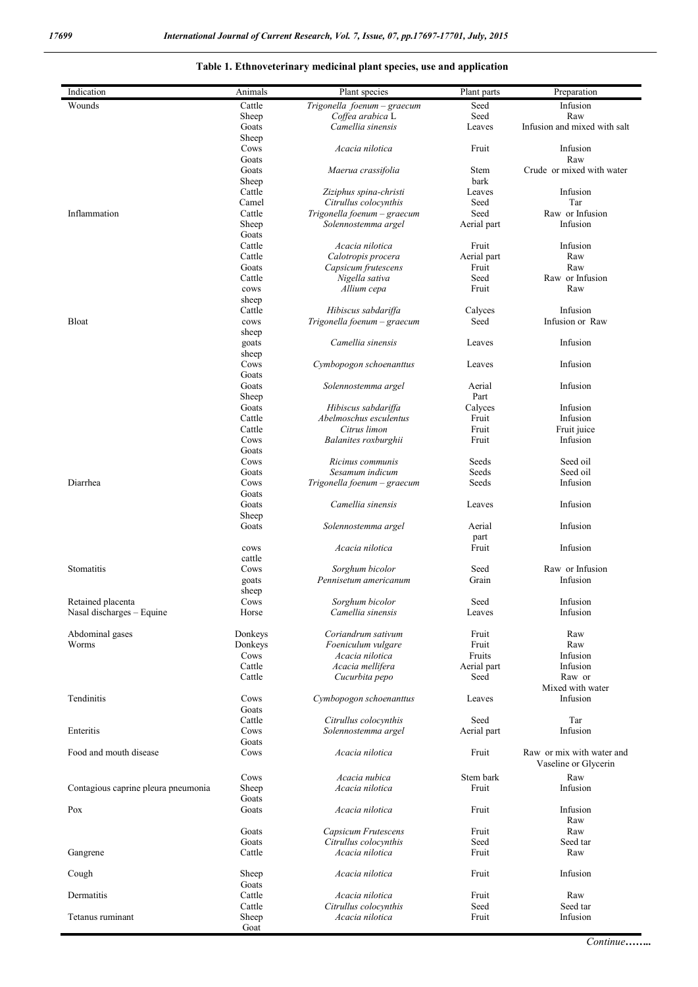## **Table 1. Ethnoveterinary medicinal plant species, use and application**

| Indication                          | Animals         | Plant species                             | Plant parts          | Preparation                                       |
|-------------------------------------|-----------------|-------------------------------------------|----------------------|---------------------------------------------------|
| Wounds                              | Cattle          | Trigonella foenum - graecum               | Seed                 | Infusion                                          |
|                                     | Sheep           | Coffea arabica L                          | Seed                 | Raw                                               |
|                                     | Goats           | Camellia sinensis                         | Leaves               | Infusion and mixed with salt                      |
|                                     | Sheep           |                                           |                      |                                                   |
|                                     | Cows            | Acacia nilotica                           | Fruit                | Infusion                                          |
|                                     | Goats           |                                           |                      | Raw                                               |
|                                     | Goats           | Maerua crassifolia                        | Stem<br>bark         | Crude or mixed with water                         |
|                                     | Sheep<br>Cattle | Ziziphus spina-christi                    | Leaves               | Infusion                                          |
|                                     | Camel           | Citrullus colocynthis                     | Seed                 | Tar                                               |
| Inflammation                        | Cattle          | Trigonella foenum - graecum               | Seed                 | Raw or Infusion                                   |
|                                     | Sheep           | Solennostemma argel                       | Aerial part          | Infusion                                          |
|                                     | Goats           |                                           |                      |                                                   |
|                                     | Cattle          | Acacia nilotica                           | Fruit                | Infusion                                          |
|                                     | Cattle<br>Goats | Calotropis procera<br>Capsicum frutescens | Aerial part<br>Fruit | Raw<br>Raw                                        |
|                                     | Cattle          | Nigella sativa                            | Seed                 | Raw or Infusion                                   |
|                                     | cows            | Allium cepa                               | Fruit                | Raw                                               |
|                                     | sheep           |                                           |                      |                                                   |
|                                     | Cattle          | Hibiscus sabdariffa                       | Calvees              | Infusion                                          |
| Bloat                               | cows            | Trigonella foenum - graecum               | Seed                 | Infusion or Raw                                   |
|                                     | sheep           |                                           |                      |                                                   |
|                                     | goats<br>sheep  | Camellia sinensis                         | Leaves               | Infusion                                          |
|                                     | Cows            | Cymbopogon schoenanttus                   | Leaves               | Infusion                                          |
|                                     | Goats           |                                           |                      |                                                   |
|                                     | Goats           | Solennostemma argel                       | Aerial               | Infusion                                          |
|                                     | Sheep           |                                           | Part                 |                                                   |
|                                     | Goats           | Hibiscus sabdariffa                       | Calyces              | Infusion                                          |
|                                     | Cattle          | Abelmoschus esculentus                    | Fruit                | Infusion                                          |
|                                     | Cattle<br>Cows  | Citrus limon<br>Balanites roxburghii      | Fruit<br>Fruit       | Fruit juice<br>Infusion                           |
|                                     | Goats           |                                           |                      |                                                   |
|                                     | Cows            | Ricinus communis                          | Seeds                | Seed oil                                          |
|                                     | Goats           | Sesamum indicum                           | Seeds                | Seed oil                                          |
| Diarrhea                            | Cows            | Trigonella foenum – graecum               | Seeds                | Infusion                                          |
|                                     | Goats           |                                           |                      |                                                   |
|                                     | Goats           | Camellia sinensis                         | Leaves               | Infusion                                          |
|                                     | Sheep<br>Goats  | Solennostemma argel                       | Aerial               | Infusion                                          |
|                                     |                 |                                           | part                 |                                                   |
|                                     | cows            | Acacia nilotica                           | Fruit                | Infusion                                          |
|                                     | cattle          |                                           |                      |                                                   |
| Stomatitis                          | Cows            | Sorghum bicolor                           | Seed                 | Raw or Infusion                                   |
|                                     | goats           | Pennisetum americanum                     | Grain                | Infusion                                          |
| Retained placenta                   | sheep<br>Cows   | Sorghum bicolor                           | Seed                 | Infusion                                          |
| Nasal discharges - Equine           | Horse           | Camellia sinensis                         | Leaves               | Infusion                                          |
|                                     |                 |                                           |                      |                                                   |
| Abdominal gases                     | Donkeys         | Coriandrum sativum                        | Fruit                | Raw                                               |
| Worms                               | Donkeys         | Foeniculum vulgare                        | Fruit                | Raw                                               |
|                                     | Cows            | Acacia nilotica                           | Fruits               | Infusion                                          |
|                                     | Cattle          | Acacia mellifera                          | Aerial part          | Infusion                                          |
|                                     | Cattle          | Cucurbita pepo                            | Seed                 | Raw or<br>Mixed with water                        |
| Tendinitis                          | Cows            | Cymbopogon schoenanttus                   | Leaves               | Infusion                                          |
|                                     | Goats           |                                           |                      |                                                   |
|                                     | Cattle          | Citrullus colocynthis                     | Seed                 | Tar                                               |
| Enteritis                           | Cows            | Solennostemma argel                       | Aerial part          | Infusion                                          |
|                                     | Goats           |                                           |                      |                                                   |
| Food and mouth disease              | Cows            | Acacia nilotica                           | Fruit                | Raw or mix with water and<br>Vaseline or Glycerin |
|                                     |                 |                                           | Stem bark            |                                                   |
| Contagious caprine pleura pneumonia | Cows<br>Sheep   | Acacia nubica<br>Acacia nilotica          | Fruit                | Raw<br>Infusion                                   |
|                                     | Goats           |                                           |                      |                                                   |
| Pox                                 | Goats           | Acacia nilotica                           | Fruit                | Infusion                                          |
|                                     |                 |                                           |                      | Raw                                               |
|                                     | Goats           | Capsicum Frutescens                       | Fruit                | Raw                                               |
|                                     | Goats           | Citrullus colocynthis                     | Seed                 | Seed tar                                          |
| Gangrene                            | Cattle          | Acacia nilotica                           | Fruit                | Raw                                               |
| Cough                               | Sheep           | Acacia nilotica                           | Fruit                | Infusion                                          |
|                                     | Goats           |                                           |                      |                                                   |
| Dermatitis                          | Cattle          | Acacia nilotica                           | Fruit                | Raw                                               |
|                                     | Cattle          | Citrullus colocynthis                     | Seed                 | Seed tar                                          |
| Tetanus ruminant                    | Sheep           | Acacia nilotica                           | Fruit                | Infusion                                          |
|                                     | Goat            |                                           |                      |                                                   |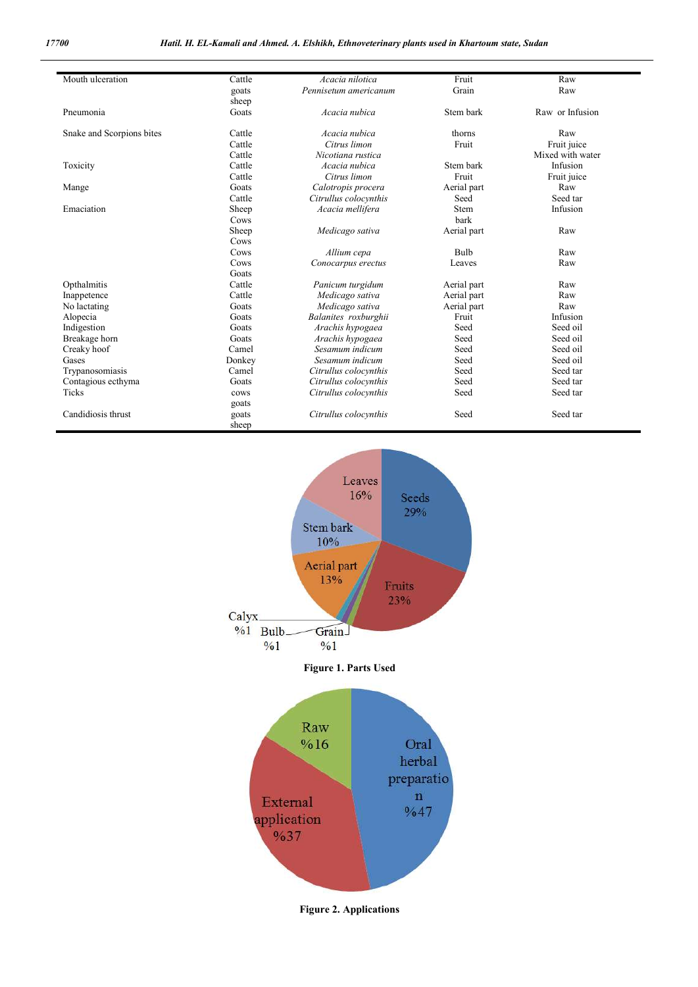| Mouth ulceration          | Cattle         | Acacia nilotica       | Fruit       | Raw              |
|---------------------------|----------------|-----------------------|-------------|------------------|
|                           | goats          | Pennisetum americanum | Grain       | Raw              |
|                           | sheep          |                       |             |                  |
| Pneumonia                 | Goats          | Acacia nubica         | Stem bark   | Raw or Infusion  |
| Snake and Scorpions bites | Cattle         | Acacia nubica         | thorns      | Raw              |
|                           | Cattle         | Citrus limon          | Fruit       | Fruit juice      |
|                           | Cattle         | Nicotiana rustica     |             | Mixed with water |
| Toxicity                  | Cattle         | Acacia nubica         | Stem bark   | Infusion         |
|                           | Cattle         | Citrus limon          | Fruit       | Fruit juice      |
| Mange                     | Goats          | Calotropis procera    | Aerial part | Raw              |
|                           | Cattle         | Citrullus colocynthis | Seed        | Seed tar         |
| Emaciation                | Sheep          | Acacia mellifera      | <b>Stem</b> | Infusion         |
|                           | Cows           |                       | bark        |                  |
|                           | Sheep          | Medicago sativa       | Aerial part | Raw              |
|                           | Cows           |                       |             |                  |
|                           | Cows           | Allium cepa           | <b>Bulb</b> | Raw              |
|                           | Cows           | Conocarpus erectus    | Leaves      | Raw              |
|                           | Goats          |                       |             |                  |
| Opthalmitis               | Cattle         | Panicum turgidum      | Aerial part | Raw              |
| Inappetence               | Cattle         | Medicago sativa       | Aerial part | Raw              |
| No lactating              | Goats          | Medicago sativa       | Aerial part | Raw              |
| Alopecia                  | Goats          | Balanites roxburghii  | Fruit       | Infusion         |
| Indigestion               | Goats          | Arachis hypogaea      | Seed        | Seed oil         |
| Breakage horn             | Goats          | Arachis hypogaea      | Seed        | Seed oil         |
| Creaky hoof               | Camel          | Sesamum indicum       | Seed        | Seed oil         |
| Gases                     | Donkey         | Sesamum indicum       | Seed        | Seed oil         |
| Trypanosomiasis           | Camel          | Citrullus colocynthis | Seed        | Seed tar         |
| Contagious ecthyma        | Goats          | Citrullus colocynthis | Seed        | Seed tar         |
| Ticks                     | cows<br>goats  | Citrullus colocynthis | Seed        | Seed tar         |
| Candidiosis thrust        | goats<br>sheep | Citrullus colocynthis | Seed        | Seed tar         |



**Figure 2. Applications**